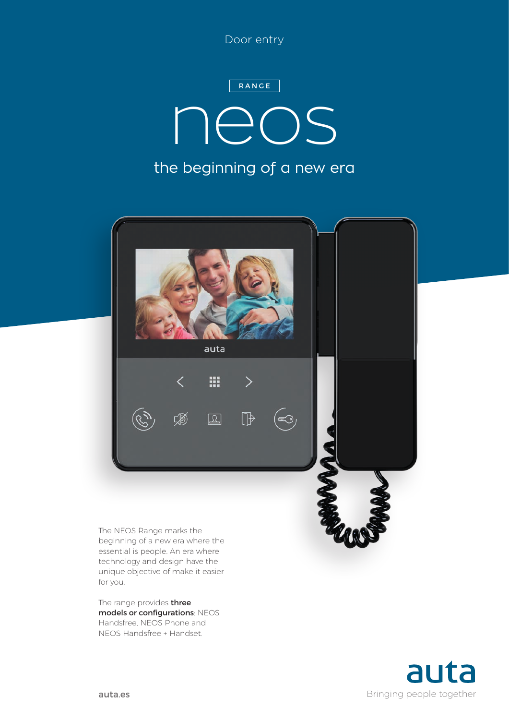Door entry

## the beginning of a new era neos RANGE



beginning of a new era where the essential is people. An era where technology and design have the unique objective of make it easier for you.

The range provides three models or configurations: NEOS Handsfree, NEOS Phone and NEOS Handsfree + Handset.

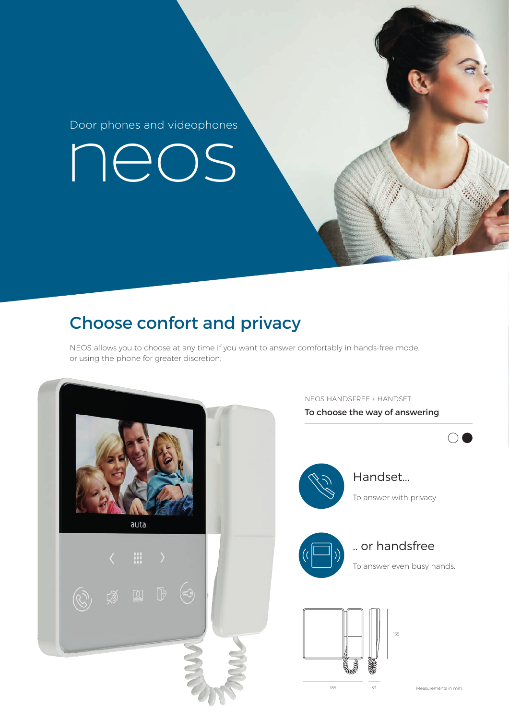Door phones and videophones

neos

### Choose confort and privacy

NEOS allows you to choose at any time if you want to answer comfortably in hands-free mode, or using the phone for greater discretion.



NEOS HANDSFREE + HANDSET

To choose the way of answering

 $\bigcirc$ 



Handset...

To answer with privacy



.. or handsfree

To answer even busy hands.

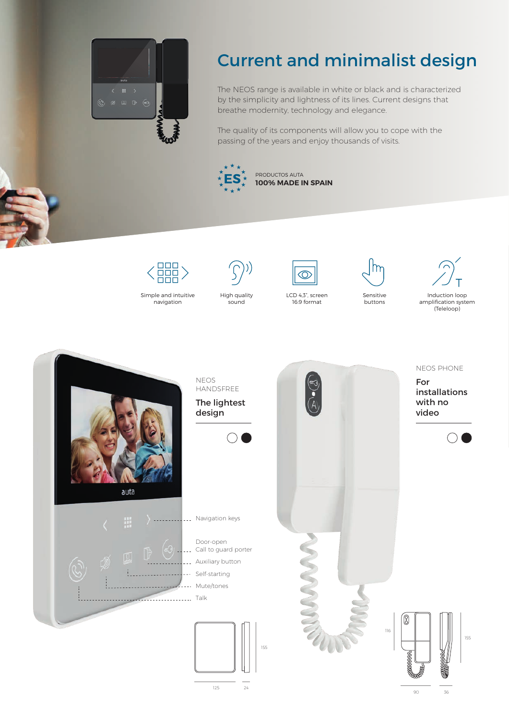

#### Current and minimalist design

The NEOS range is available in white or black and is characterized by the simplicity and lightness of its lines. Current designs that breathe modernity, technology and elegance.

The quality of its components will allow you to cope with the passing of the years and enjoy thousands of visits.





Simple and intuitive navigation

High quality

sound





LCD 4,3", screen 16:9 format



Sensitive buttons





90 36